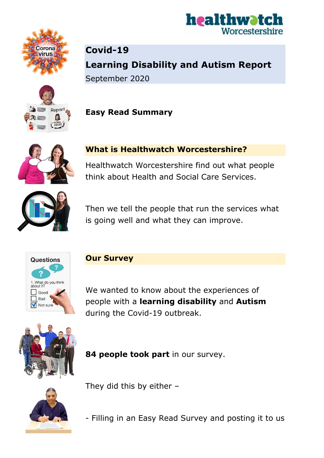



**Covid-19 Learning Disability and Autism Report** September 2020







Healthwatch Worcestershire find out what people think about Health and Social Care Services.



Then we tell the people that run the services what is going well and what they can improve.



**Our Survey**

We wanted to know about the experiences of people with a **learning disability** and **Autism** during the Covid-19 outbreak.



**84 people took part** in our survey.



They did this by either –

- Filling in an Easy Read Survey and posting it to us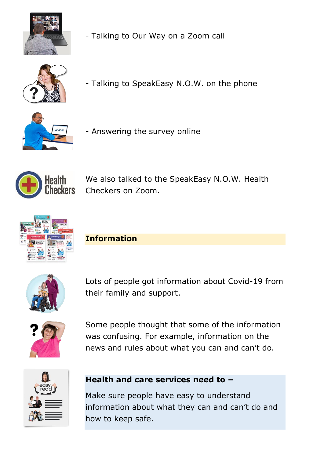

- Talking to Our Way on a Zoom call



- Talking to SpeakEasy N.O.W. on the phone



- Answering the survey online



We also talked to the SpeakEasy N.O.W. Health Checkers on Zoom.



**Information**



Lots of people got information about Covid-19 from their family and support.



Some people thought that some of the information was confusing. For example, information on the news and rules about what you can and can't do.



# **Health and care services need to –**

Make sure people have easy to understand information about what they can and can't do and how to keep safe.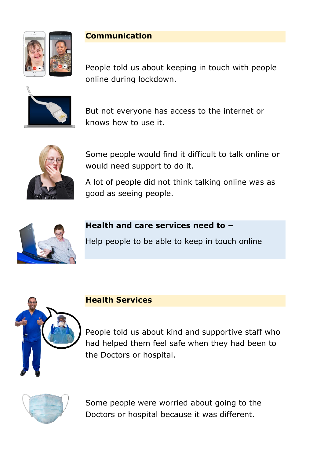

# **Communication**

People told us about keeping in touch with people online during lockdown.



But not everyone has access to the internet or knows how to use it.



Some people would find it difficult to talk online or would need support to do it.

A lot of people did not think talking online was as good as seeing people.



# **Health and care services need to –**

Help people to be able to keep in touch online



### **Health Services**

People told us about kind and supportive staff who had helped them feel safe when they had been to the Doctors or hospital.



Some people were worried about going to the Doctors or hospital because it was different.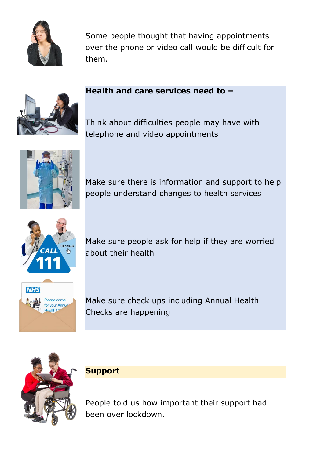

Some people thought that having appointments over the phone or video call would be difficult for them.

# **Health and care services need to –**

Think about difficulties people may have with telephone and video appointments



Make sure there is information and support to help people understand changes to health services



Make sure people ask for help if they are worried about their health



Make sure check ups including Annual Health Checks are happening



**Support**

People told us how important their support had been over lockdown.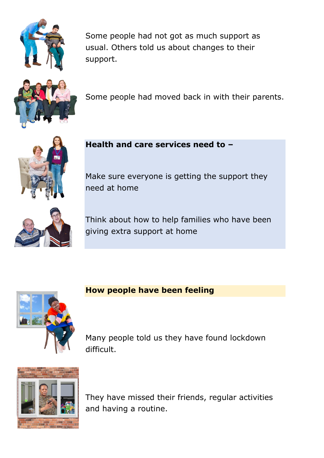

Some people had not got as much support as usual. Others told us about changes to their support.



Some people had moved back in with their parents.



**Health and care services need to –**

Make sure everyone is getting the support they need at home



Think about how to help families who have been giving extra support at home



# **How people have been feeling**

Many people told us they have found lockdown difficult.



They have missed their friends, regular activities and having a routine.